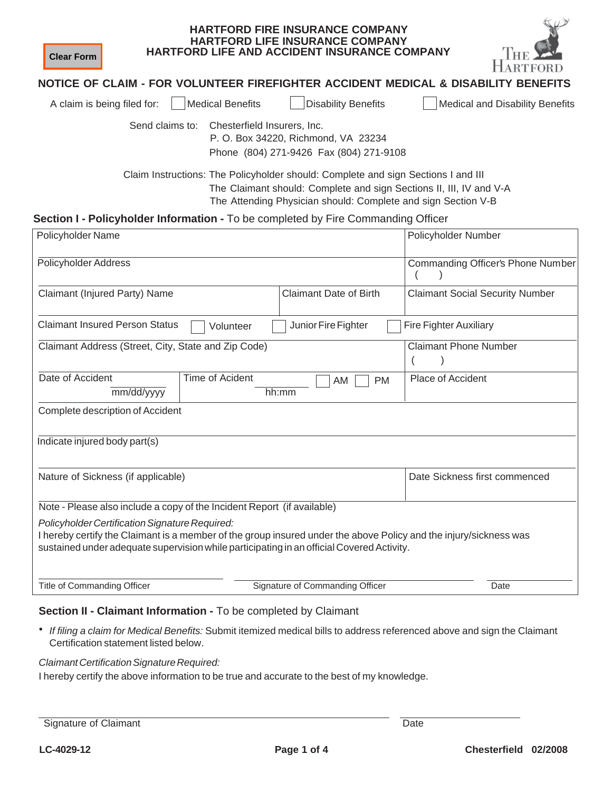| <b>Clear Form</b>                                                                 |                             | <b>HARTFORD FIRE INSURANCE COMPANY</b><br><b>HARTFORD LIFE INSURANCE COMPANY</b><br>HARTFORD LIFE AND ACCIDENT INSURANCE COMPANY                                                                                          |                                                                                    |
|-----------------------------------------------------------------------------------|-----------------------------|---------------------------------------------------------------------------------------------------------------------------------------------------------------------------------------------------------------------------|------------------------------------------------------------------------------------|
|                                                                                   |                             |                                                                                                                                                                                                                           | NOTICE OF CLAIM - FOR VOLUNTEER FIREFIGHTER ACCIDENT MEDICAL & DISABILITY BENEFITS |
| A claim is being filed for:                                                       | <b>Medical Benefits</b>     | <b>Disability Benefits</b>                                                                                                                                                                                                | Medical and Disability Benefits                                                    |
| Send claims to:                                                                   | Chesterfield Insurers, Inc. | P. O. Box 34220, Richmond, VA 23234<br>Phone (804) 271-9426 Fax (804) 271-9108                                                                                                                                            |                                                                                    |
|                                                                                   |                             | Claim Instructions: The Policyholder should: Complete and sign Sections I and III<br>The Claimant should: Complete and sign Sections II, III, IV and V-A<br>The Attending Physician should: Complete and sign Section V-B |                                                                                    |
| Section I - Policyholder Information - To be completed by Fire Commanding Officer |                             |                                                                                                                                                                                                                           |                                                                                    |
| Policyholder Name                                                                 |                             |                                                                                                                                                                                                                           | Policyholder Number                                                                |
| <b>Policyholder Address</b>                                                       |                             |                                                                                                                                                                                                                           | Commanding Officer's Phone Number                                                  |
| Claimant (Injured Party) Name                                                     |                             | <b>Claimant Date of Birth</b>                                                                                                                                                                                             | <b>Claimant Social Security Number</b>                                             |
| <b>Claimant Insured Person Status</b>                                             | Volunteer                   | Junior Fire Fighter                                                                                                                                                                                                       | <b>Fire Fighter Auxiliary</b>                                                      |
| Claimant Address (Street, City, State and Zip Code)                               |                             |                                                                                                                                                                                                                           | <b>Claimant Phone Number</b>                                                       |
| Date of Accident<br>mm/dd/yyyy                                                    | <b>Time of Acident</b>      | <b>PM</b><br>AM<br>hh:mm                                                                                                                                                                                                  | Place of Accident                                                                  |
| Complete description of Accident                                                  |                             |                                                                                                                                                                                                                           |                                                                                    |
| Indicate injured body part(s)                                                     |                             |                                                                                                                                                                                                                           |                                                                                    |
| Nature of Sickness (if applicable)                                                |                             |                                                                                                                                                                                                                           | Date Sickness first commenced                                                      |
| Note - Please also include a copy of the Incident Report (if available)           |                             |                                                                                                                                                                                                                           |                                                                                    |

*Policyholder Certification Signature Required:*

I hereby certify the Claimant is a member of the group insured under the above Policy and the injury/sickness was sustained under adequate supervision while participating in an official Covered Activity.

|  | Title of Commanding Officer |  |  |
|--|-----------------------------|--|--|
|--|-----------------------------|--|--|

Signature of Commanding Officer **Signature of Commanding Officer** Date

 $\kappa v \nu$ 

### **Section II - Claimant Information -** To be completed by Claimant

• *If filing a claim for Medical Benefits:* Submit itemized medical bills to address referenced above and sign the Claimant Certification statement listed below.

#### **Claimant Certification Signature Required:**

I hereby certify the above information to be true and accurate to the best of my knowledge.

Signature of Claimant Date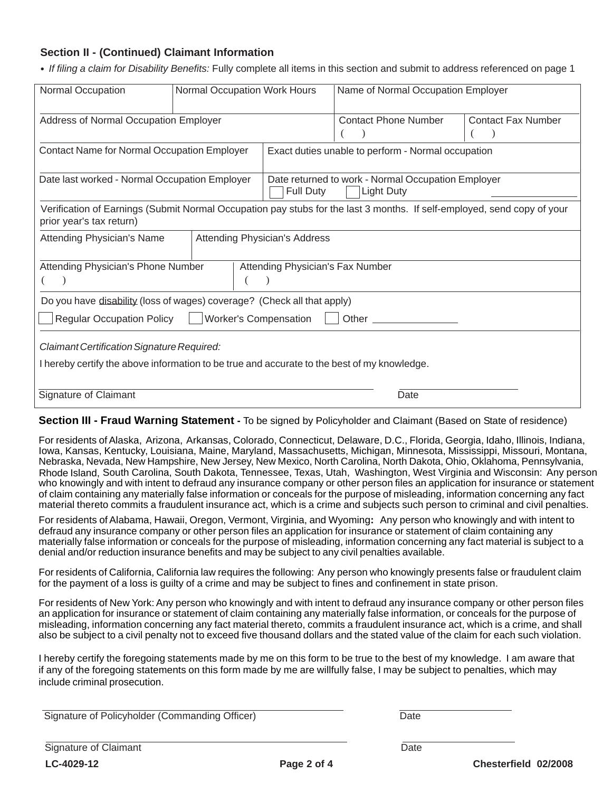# **Section II - (Continued) Claimant Information**

• *If filing a claim for Disability Benefits:* Fully complete all items in this section and submit to address referenced on page 1

| Normal Occupation                                                                                                                         | Normal Occupation Work Hours |                                      | Name of Normal Occupation Employer                                                                                      |                                            |
|-------------------------------------------------------------------------------------------------------------------------------------------|------------------------------|--------------------------------------|-------------------------------------------------------------------------------------------------------------------------|--------------------------------------------|
| Address of Normal Occupation Employer                                                                                                     |                              |                                      | <b>Contact Phone Number</b>                                                                                             | <b>Contact Fax Number</b><br>$\rightarrow$ |
| <b>Contact Name for Normal Occupation Employer</b>                                                                                        |                              |                                      | Exact duties unable to perform - Normal occupation                                                                      |                                            |
| Date last worked - Normal Occupation Employer                                                                                             |                              | Full Duty                            | Date returned to work - Normal Occupation Employer<br><b>Light Duty</b>                                                 |                                            |
| prior year's tax return)                                                                                                                  |                              |                                      | Verification of Earnings (Submit Normal Occupation pay stubs for the last 3 months. If self-employed, send copy of your |                                            |
| Attending Physician's Name                                                                                                                |                              | <b>Attending Physician's Address</b> |                                                                                                                         |                                            |
| Attending Physician's Phone Number                                                                                                        |                              | Attending Physician's Fax Number     |                                                                                                                         |                                            |
| Do you have disability (loss of wages) coverage? (Check all that apply)                                                                   |                              |                                      |                                                                                                                         |                                            |
| <b>Regular Occupation Policy</b>                                                                                                          |                              | <b>Worker's Compensation</b>         |                                                                                                                         |                                            |
| Claimant Certification Signature Required:<br>I hereby certify the above information to be true and accurate to the best of my knowledge. |                              |                                      |                                                                                                                         |                                            |
| Signature of Claimant                                                                                                                     |                              |                                      | Date                                                                                                                    |                                            |

**Section III - Fraud Warning Statement -** To be signed by Policyholder and Claimant (Based on State of residence)

For residents of Alaska, Arizona, Arkansas, Colorado, Connecticut, Delaware, D.C., Florida, Georgia, Idaho, Illinois, Indiana, Iowa, Kansas, Kentucky, Louisiana, Maine, Maryland, Massachusetts, Michigan, Minnesota, Mississippi, Missouri, Montana, Nebraska, Nevada, New Hampshire, New Jersey, New Mexico, North Carolina, North Dakota, Ohio, Oklahoma, Pennsylvania, Rhode Island, South Carolina, South Dakota, Tennessee, Texas, Utah, Washington, West Virginia and Wisconsin: Any person who knowingly and with intent to defraud any insurance company or other person files an application for insurance or statement of claim containing any materially false information or conceals for the purpose of misleading, information concerning any fact material thereto commits a fraudulent insurance act, which is a crime and subjects such person to criminal and civil penalties.

For residents of Alabama, Hawaii, Oregon, Vermont, Virginia, and Wyoming**:** Any person who knowingly and with intent to defraud any insurance company or other person files an application for insurance or statement of claim containing any materially false information or conceals for the purpose of misleading, information concerning any fact material is subject to a denial and/or reduction insurance benefits and may be subject to any civil penalties available.

For residents of California, California law requires the following: Any person who knowingly presents false or fraudulent claim for the payment of a loss is guilty of a crime and may be subject to fines and confinement in state prison.

For residents of New York: Any person who knowingly and with intent to defraud any insurance company or other person files an application for insurance or statement of claim containing any materially false information, or conceals for the purpose of misleading, information concerning any fact material thereto, commits a fraudulent insurance act, which is a crime, and shall also be subject to a civil penalty not to exceed five thousand dollars and the stated value of the claim for each such violation.

I hereby certify the foregoing statements made by me on this form to be true to the best of my knowledge. I am aware that if any of the foregoing statements on this form made by me are willfully false, I may be subject to penalties, which may include criminal prosecution.

Signature of Policyholder (Commanding Officer)

|--|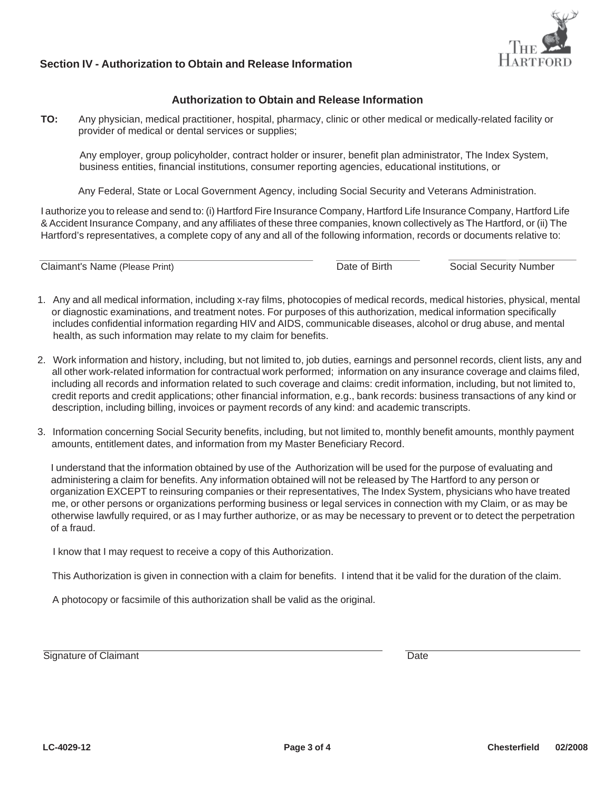

## **Section IV - Authorization to Obtain and Release Information**

### **Authorization to Obtain and Release Information**

 **TO:** Any physician, medical practitioner, hospital, pharmacy, clinic or other medical or medically-related facility or provider of medical or dental services or supplies;

 Any employer, group policyholder, contract holder or insurer, benefit plan administrator, The Index System, business entities, financial institutions, consumer reporting agencies, educational institutions, or

Any Federal, State or Local Government Agency, including Social Security and Veterans Administration.

I authorize you to release and send to: (i) Hartford Fire Insurance Company, Hartford Life Insurance Company, Hartford Life & Accident Insurance Company, and any affiliates of these three companies, known collectively as The Hartford, or (ii) The Hartford's representatives, a complete copy of any and all of the following information, records or documents relative to:

Claimant's Name (Please Print) Date of Birth Social Security Number

- 1. Any and all medical information, including x-ray films, photocopies of medical records, medical histories, physical, mental or diagnostic examinations, and treatment notes. For purposes of this authorization, medical information specifically includes confidential information regarding HIV and AIDS, communicable diseases, alcohol or drug abuse, and mental health, as such information may relate to my claim for benefits.
- 2. Work information and history, including, but not limited to, job duties, earnings and personnel records, client lists, any and all other work-related information for contractual work performed; information on any insurance coverage and claims filed, including all records and information related to such coverage and claims: credit information, including, but not limited to, credit reports and credit applications; other financial information, e.g., bank records: business transactions of any kind or description, including billing, invoices or payment records of any kind: and academic transcripts.
- 3. Information concerning Social Security benefits, including, but not limited to, monthly benefit amounts, monthly payment amounts, entitlement dates, and information from my Master Beneficiary Record.

 I understand that the information obtained by use of the Authorization will be used for the purpose of evaluating and administering a claim for benefits. Any information obtained will not be released by The Hartford to any person or organization EXCEPT to reinsuring companies or their representatives, The Index System, physicians who have treated me, me, or other persons or organizations performing business or legal services in connection with my Claim, or as may be otherwise lawfully required, or as I may further authorize, or as may be necessary to prevent or to detect the perpetration of a fraud.

I know that I may request to receive a copy of this Authorization.

This Authorization is given in connection with a claim for benefits. I intend that it be valid for the duration of the claim.

A photocopy or facsimile of this authorization shall be valid as the original.

Signature of Claimant Date **Date**